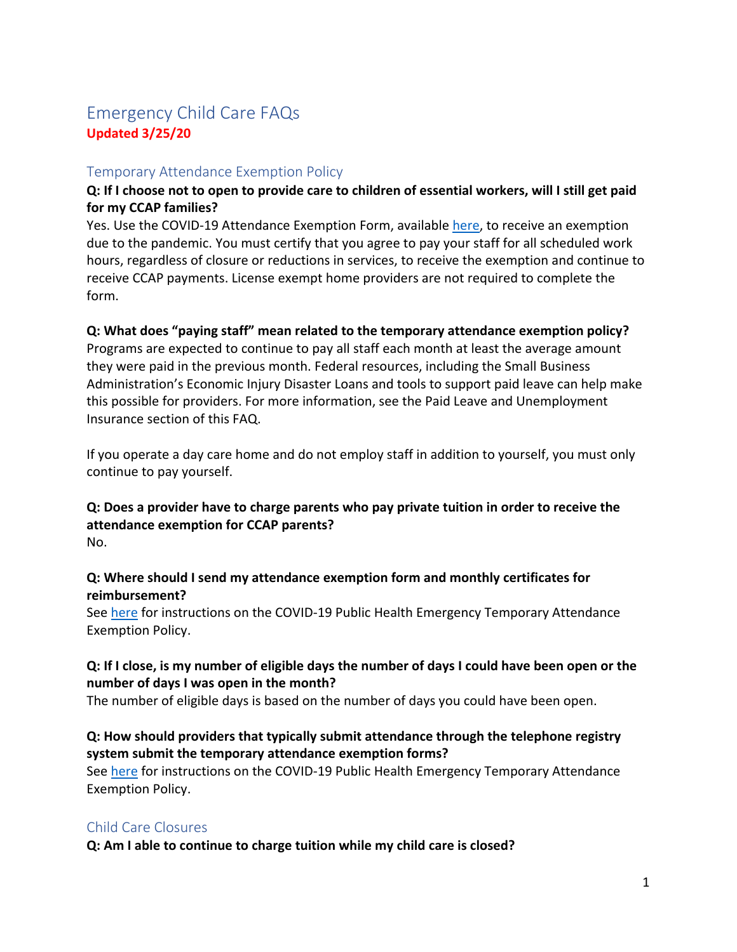# Emergency Child Care FAQs **Updated 3/25/20**

## Temporary Attendance Exemption Policy

## **Q: If I choose not to open to provide care to children of essential workers, will I still get paid for my CCAP families?**

Yes. Use the COVID-19 Attendance Exemption Form, available [here,](https://www.inccrra.org/images/emails/COVID-19-ATTENDANCE-EXEMPTION-FORM.pdf) to receive an exemption due to the pandemic. You must certify that you agree to pay your staff for all scheduled work hours, regardless of closure or reductions in services, to receive the exemption and continue to receive CCAP payments. License exempt home providers are not required to complete the form.

#### **Q: What does "paying staff" mean related to the temporary attendance exemption policy?**

Programs are expected to continue to pay all staff each month at least the average amount they were paid in the previous month. Federal resources, including the Small Business Administration's Economic Injury Disaster Loans and tools to support paid leave can help make this possible for providers. For more information, see the Paid Leave and Unemployment Insurance section of this FAQ.

If you operate a day care home and do not employ staff in addition to yourself, you must only continue to pay yourself.

#### **Q: Does a provider have to charge parents who pay private tuition in order to receive the attendance exemption for CCAP parents?** No.

#### **Q: Where should I send my attendance exemption form and monthly certificates for reimbursement?**

See [here](https://www.inccrra.org/images/emails/Temporary-Attendance-Exemption-Policy.pdf) for instructions on the COVID-19 Public Health Emergency Temporary Attendance Exemption Policy.

## **Q: If I close, is my number of eligible days the number of days I could have been open or the number of days I was open in the month?**

The number of eligible days is based on the number of days you could have been open.

## **Q: How should providers that typically submit attendance through the telephone registry system submit the temporary attendance exemption forms?**

See [here](https://www.inccrra.org/images/emails/Temporary-Attendance-Exemption-Policy.pdf) for instructions on the COVID-19 Public Health Emergency Temporary Attendance Exemption Policy.

## Child Care Closures

**Q: Am I able to continue to charge tuition while my child care is closed?**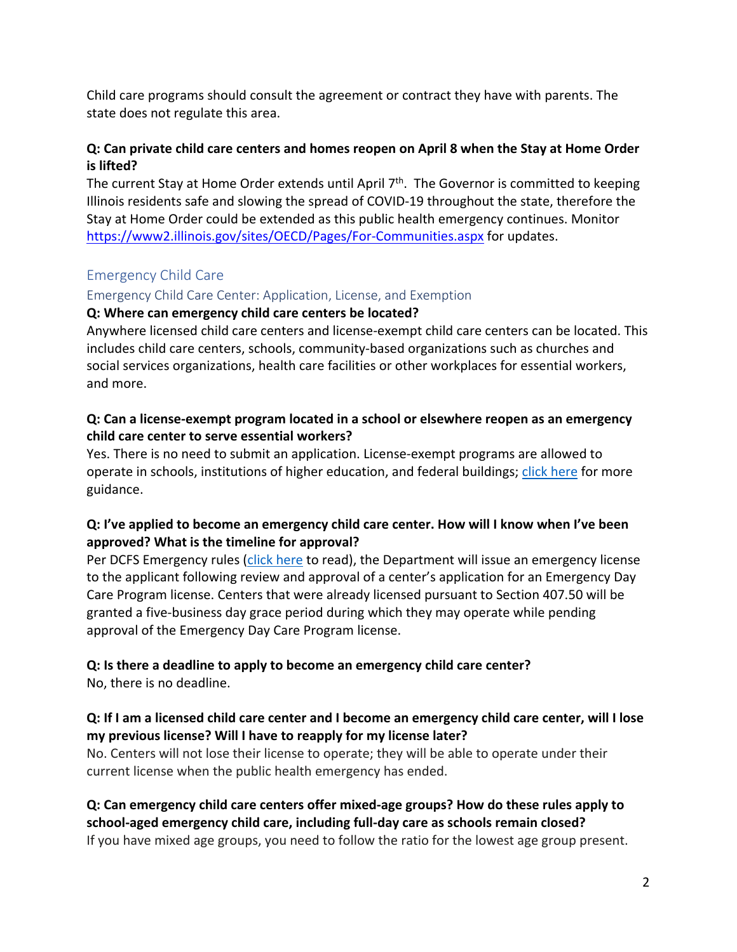Child care programs should consult the agreement or contract they have with parents. The state does not regulate this area.

## **Q: Can private child care centers and homes reopen on April 8 when the Stay at Home Order is lifted?**

The current Stay at Home Order extends until April 7<sup>th</sup>. The Governor is committed to keeping Illinois residents safe and slowing the spread of COVID-19 throughout the state, therefore the Stay at Home Order could be extended as this public health emergency continues. Monitor <https://www2.illinois.gov/sites/OECD/Pages/For-Communities.aspx> for updates.

## Emergency Child Care

## Emergency Child Care Center: Application, License, and Exemption

## **Q: Where can emergency child care centers be located?**

Anywhere licensed child care centers and license-exempt child care centers can be located. This includes child care centers, schools, community-based organizations such as churches and social services organizations, health care facilities or other workplaces for essential workers, and more.

## **Q: Can a license-exempt program located in a school or elsewhere reopen as an emergency child care center to serve essential workers?**

Yes. There is no need to submit an application. License-exempt programs are allowed to operate in schools, institutions of higher education, and federal buildings; [click here](https://www2.illinois.gov/dcfs/aboutus/notices/documents/rules_377.pdf) for more guidance.

## **Q: I've applied to become an emergency child care center. How will I know when I've been approved? What is the timeline for approval?**

Per DCFS Emergency rules [\(click here](https://www2.illinois.gov/sites/OECD/Documents/Rules%20407%20effective%20March%2020%202020.pdf) to read), the Department will issue an emergency license to the applicant following review and approval of a center's application for an Emergency Day Care Program license. Centers that were already licensed pursuant to Section 407.50 will be granted a five-business day grace period during which they may operate while pending approval of the Emergency Day Care Program license.

## **Q: Is there a deadline to apply to become an emergency child care center?**

No, there is no deadline.

## **Q: If I am a licensed child care center and I become an emergency child care center, will I lose my previous license? Will I have to reapply for my license later?**

No. Centers will not lose their license to operate; they will be able to operate under their current license when the public health emergency has ended.

## **Q: Can emergency child care centers offer mixed-age groups? How do these rules apply to school-aged emergency child care, including full-day care as schools remain closed?**

If you have mixed age groups, you need to follow the ratio for the lowest age group present.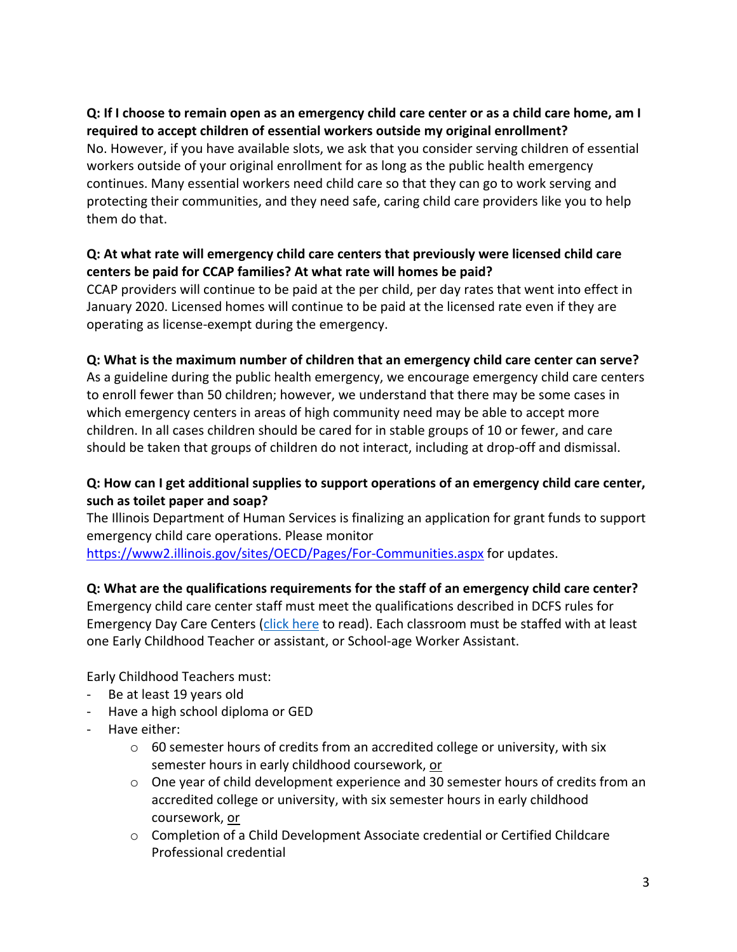## **Q: If I choose to remain open as an emergency child care center or as a child care home, am I required to accept children of essential workers outside my original enrollment?**

No. However, if you have available slots, we ask that you consider serving children of essential workers outside of your original enrollment for as long as the public health emergency continues. Many essential workers need child care so that they can go to work serving and protecting their communities, and they need safe, caring child care providers like you to help them do that.

## **Q: At what rate will emergency child care centers that previously were licensed child care centers be paid for CCAP families? At what rate will homes be paid?**

CCAP providers will continue to be paid at the per child, per day rates that went into effect in January 2020. Licensed homes will continue to be paid at the licensed rate even if they are operating as license-exempt during the emergency.

#### **Q: What is the maximum number of children that an emergency child care center can serve?**

As a guideline during the public health emergency, we encourage emergency child care centers to enroll fewer than 50 children; however, we understand that there may be some cases in which emergency centers in areas of high community need may be able to accept more children. In all cases children should be cared for in stable groups of 10 or fewer, and care should be taken that groups of children do not interact, including at drop-off and dismissal.

## **Q: How can I get additional supplies to support operations of an emergency child care center, such as toilet paper and soap?**

The Illinois Department of Human Services is finalizing an application for grant funds to support emergency child care operations. Please monitor <https://www2.illinois.gov/sites/OECD/Pages/For-Communities.aspx> for updates.

#### **Q: What are the qualifications requirements for the staff of an emergency child care center?**

Emergency child care center staff must meet the qualifications described in DCFS rules for Emergency Day Care Centers [\(click here](https://www2.illinois.gov/sites/OECD/Documents/Rules%20407%20effective%20March%2020%202020.pdf) to read). Each classroom must be staffed with at least one Early Childhood Teacher or assistant, or School-age Worker Assistant.

Early Childhood Teachers must:

- Be at least 19 years old
- Have a high school diploma or GED
- Have either:
	- o 60 semester hours of credits from an accredited college or university, with six semester hours in early childhood coursework, or
	- $\circ$  One year of child development experience and 30 semester hours of credits from an accredited college or university, with six semester hours in early childhood coursework, or
	- o Completion of a Child Development Associate credential or Certified Childcare Professional credential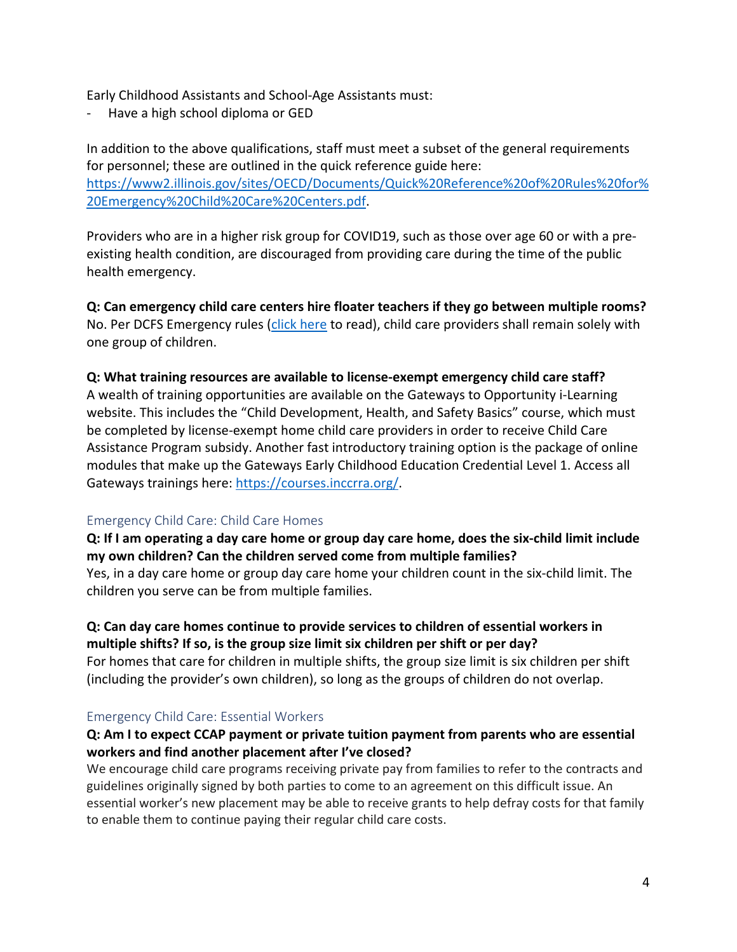Early Childhood Assistants and School-Age Assistants must:

- Have a high school diploma or GED

In addition to the above qualifications, staff must meet a subset of the general requirements for personnel; these are outlined in the quick reference guide here: [https://www2.illinois.gov/sites/OECD/Documents/Quick%20Reference%20of%20Rules%20for%](https://www2.illinois.gov/sites/OECD/Documents/Quick%20Reference%20of%20Rules%20for%20Emergency%20Child%20Care%20Centers.pdf) [20Emergency%20Child%20Care%20Centers.pdf.](https://www2.illinois.gov/sites/OECD/Documents/Quick%20Reference%20of%20Rules%20for%20Emergency%20Child%20Care%20Centers.pdf)

Providers who are in a higher risk group for COVID19, such as those over age 60 or with a preexisting health condition, are discouraged from providing care during the time of the public health emergency.

**Q: Can emergency child care centers hire floater teachers if they go between multiple rooms?** No. Per DCFS Emergency rules [\(click here](https://www2.illinois.gov/sites/OECD/Documents/Rules%20407%20effective%20March%2020%202020.pdf) to read), child care providers shall remain solely with one group of children.

#### **Q: What training resources are available to license-exempt emergency child care staff?**

A wealth of training opportunities are available on the Gateways to Opportunity i-Learning website. This includes the "Child Development, Health, and Safety Basics" course, which must be completed by license-exempt home child care providers in order to receive Child Care Assistance Program subsidy. Another fast introductory training option is the package of online modules that make up the Gateways Early Childhood Education Credential Level 1. Access all Gateways trainings here: [https://courses.inccrra.org/.](https://courses.inccrra.org/)

#### Emergency Child Care: Child Care Homes

**Q: If I am operating a day care home or group day care home, does the six-child limit include my own children? Can the children served come from multiple families?**  Yes, in a day care home or group day care home your children count in the six-child limit. The

children you serve can be from multiple families.

#### **Q: Can day care homes continue to provide services to children of essential workers in multiple shifts? If so, is the group size limit six children per shift or per day?**

For homes that care for children in multiple shifts, the group size limit is six children per shift (including the provider's own children), so long as the groups of children do not overlap.

#### Emergency Child Care: Essential Workers

#### **Q: Am I to expect CCAP payment or private tuition payment from parents who are essential workers and find another placement after I've closed?**

We encourage child care programs receiving private pay from families to refer to the contracts and guidelines originally signed by both parties to come to an agreement on this difficult issue. An essential worker's new placement may be able to receive grants to help defray costs for that family to enable them to continue paying their regular child care costs.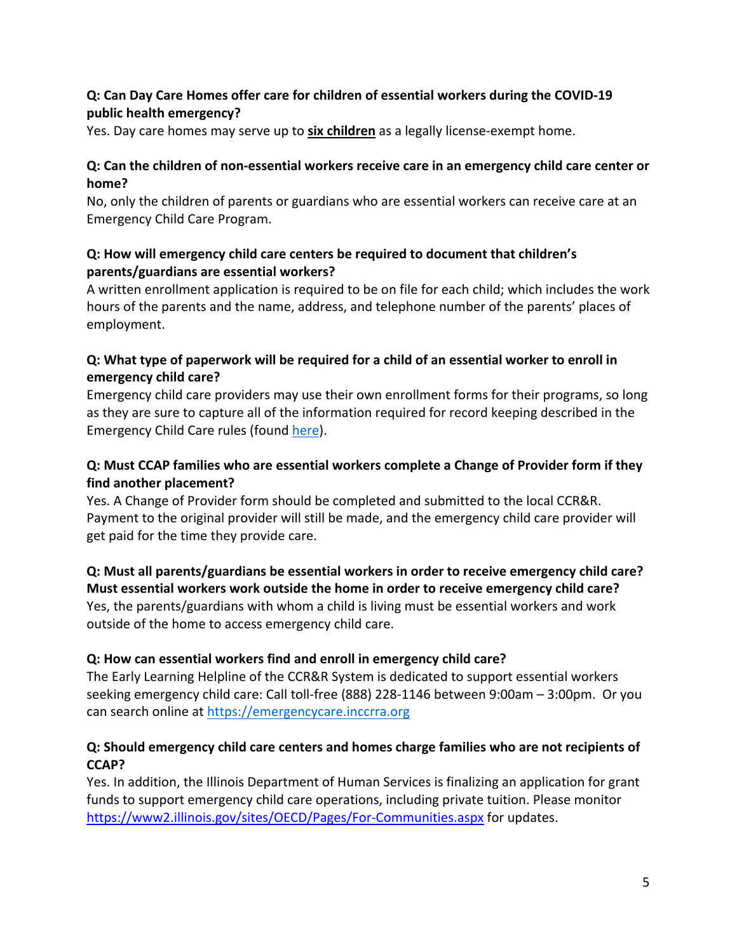## **Q: Can Day Care Homes offer care for children of essential workers during the COVID-19 public health emergency?**

Yes. Day care homes may serve up to **six children** as a legally license-exempt home.

## **Q: Can the children of non-essential workers receive care in an emergency child care center or home?**

No, only the children of parents or guardians who are essential workers can receive care at an Emergency Child Care Program.

## **Q: How will emergency child care centers be required to document that children's parents/guardians are essential workers?**

A written enrollment application is required to be on file for each child; which includes the work hours of the parents and the name, address, and telephone number of the parents' places of employment.

## **Q: What type of paperwork will be required for a child of an essential worker to enroll in emergency child care?**

Emergency child care providers may use their own enrollment forms for their programs, so long as they are sure to capture all of the information required for record keeping described in the Emergency Child Care rules (found [here\)](https://www2.illinois.gov/sites/OECD/Documents/Rules%20407%20effective%20March%2020%202020.pdf).

## **Q: Must CCAP families who are essential workers complete a Change of Provider form if they find another placement?**

Yes. A Change of Provider form should be completed and submitted to the local CCR&R. Payment to the original provider will still be made, and the emergency child care provider will get paid for the time they provide care.

## **Q: Must all parents/guardians be essential workers in order to receive emergency child care? Must essential workers work outside the home in order to receive emergency child care?** Yes, the parents/guardians with whom a child is living must be essential workers and work outside of the home to access emergency child care.

#### **Q: How can essential workers find and enroll in emergency child care?**

The Early Learning Helpline of the CCR&R System is dedicated to support essential workers seeking emergency child care: Call toll-free (888) 228-1146 between 9:00am – 3:00pm. Or you can search online at [https://emergencycare.inccrra.org](https://emergencycare.inccrra.org/)

## **Q: Should emergency child care centers and homes charge families who are not recipients of CCAP?**

Yes. In addition, the Illinois Department of Human Services is finalizing an application for grant funds to support emergency child care operations, including private tuition. Please monitor <https://www2.illinois.gov/sites/OECD/Pages/For-Communities.aspx> for updates.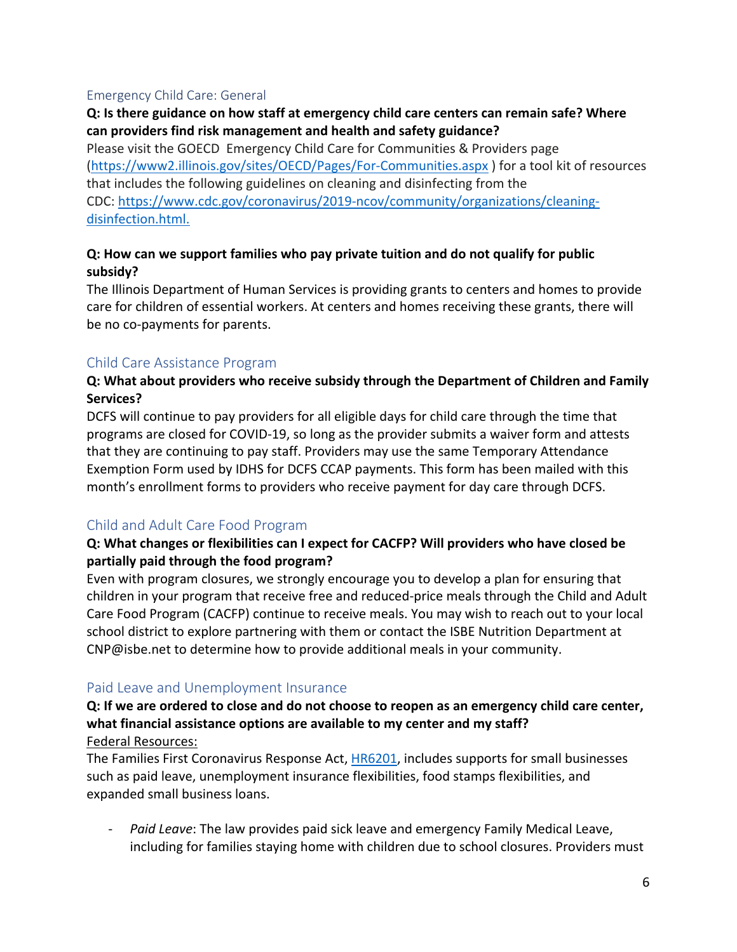#### Emergency Child Care: General

### **Q: Is there guidance on how staff at emergency child care centers can remain safe? Where can providers find risk management and health and safety guidance?**

Please visit the GOECD Emergency Child Care for Communities & Providers page [\(https://www2.illinois.gov/sites/OECD/Pages/For-Communities.aspx](https://www2.illinois.gov/sites/OECD/Pages/For-Communities.aspx) ) for a tool kit of resources that includes the following guidelines on cleaning and disinfecting from the CDC: [https://www.cdc.gov/coronavirus/2019-ncov/community/organizations/cleaning](https://www.cdc.gov/coronavirus/2019-ncov/community/organizations/cleaning-disinfection.html)[disinfection.html.](https://www.cdc.gov/coronavirus/2019-ncov/community/organizations/cleaning-disinfection.html)

#### **Q: How can we support families who pay private tuition and do not qualify for public subsidy?**

The Illinois Department of Human Services is providing grants to centers and homes to provide care for children of essential workers. At centers and homes receiving these grants, there will be no co-payments for parents.

#### Child Care Assistance Program

## **Q: What about providers who receive subsidy through the Department of Children and Family Services?**

DCFS will continue to pay providers for all eligible days for child care through the time that programs are closed for COVID-19, so long as the provider submits a waiver form and attests that they are continuing to pay staff. Providers may use the same Temporary Attendance Exemption Form used by IDHS for DCFS CCAP payments. This form has been mailed with this month's enrollment forms to providers who receive payment for day care through DCFS.

#### Child and Adult Care Food Program

#### **Q: What changes or flexibilities can I expect for CACFP? Will providers who have closed be partially paid through the food program?**

Even with program closures, we strongly encourage you to develop a plan for ensuring that children in your program that receive free and reduced-price meals through the Child and Adult Care Food Program (CACFP) continue to receive meals. You may wish to reach out to your local school district to explore partnering with them or contact the ISBE Nutrition Department at CNP@isbe.net to determine how to provide additional meals in your community.

#### Paid Leave and Unemployment Insurance

#### **Q: If we are ordered to close and do not choose to reopen as an emergency child care center, what financial assistance options are available to my center and my staff?** Federal Resources:

The Families First Coronavirus Response Act, [HR6201,](https://www.congress.gov/bill/116th-congress/house-bill/6201?q=%7B%22search%22%3A%5B%22coronavirus%22%5D%7D&s=1&r=4) includes supports for small businesses such as paid leave, unemployment insurance flexibilities, food stamps flexibilities, and expanded small business loans.

- *Paid Leave*: The law provides paid sick leave and emergency Family Medical Leave, including for families staying home with children due to school closures. Providers must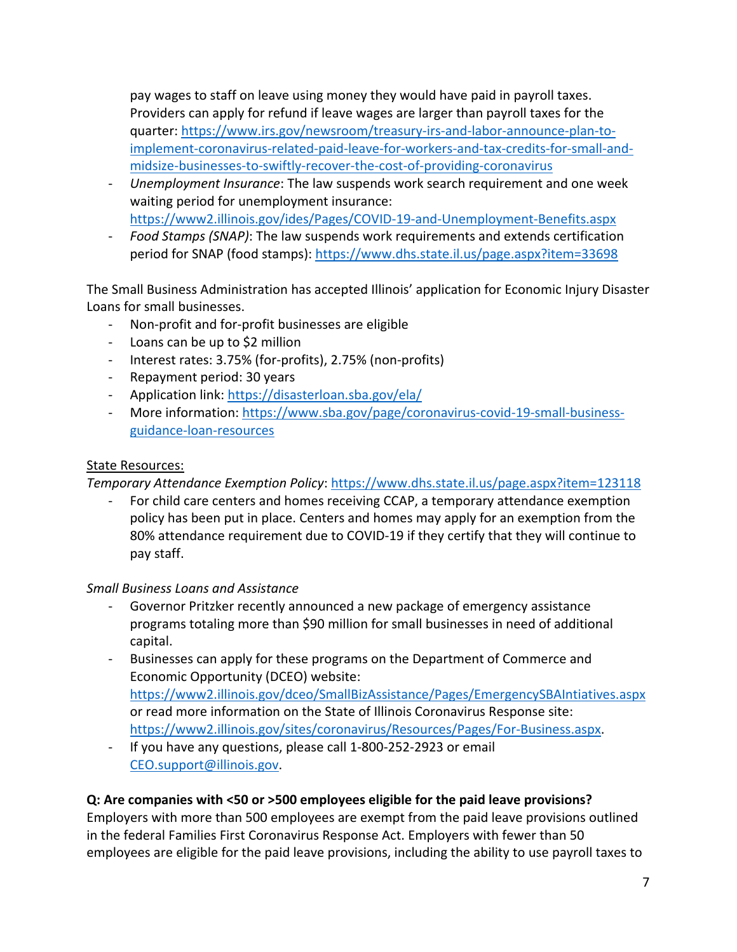pay wages to staff on leave using money they would have paid in payroll taxes. Providers can apply for refund if leave wages are larger than payroll taxes for the quarter: [https://www.irs.gov/newsroom/treasury-irs-and-labor-announce-plan-to](https://www.irs.gov/newsroom/treasury-irs-and-labor-announce-plan-to-implement-coronavirus-related-paid-leave-for-workers-and-tax-credits-for-small-and-midsize-businesses-to-swiftly-recover-the-cost-of-providing-coronavirus)[implement-coronavirus-related-paid-leave-for-workers-and-tax-credits-for-small-and](https://www.irs.gov/newsroom/treasury-irs-and-labor-announce-plan-to-implement-coronavirus-related-paid-leave-for-workers-and-tax-credits-for-small-and-midsize-businesses-to-swiftly-recover-the-cost-of-providing-coronavirus)[midsize-businesses-to-swiftly-recover-the-cost-of-providing-coronavirus](https://www.irs.gov/newsroom/treasury-irs-and-labor-announce-plan-to-implement-coronavirus-related-paid-leave-for-workers-and-tax-credits-for-small-and-midsize-businesses-to-swiftly-recover-the-cost-of-providing-coronavirus)

- *Unemployment Insurance*: The law suspends work search requirement and one week waiting period for unemployment insurance: <https://www2.illinois.gov/ides/Pages/COVID-19-and-Unemployment-Benefits.aspx>
- *Food Stamps (SNAP)*: The law suspends work requirements and extends certification period for SNAP (food stamps):<https://www.dhs.state.il.us/page.aspx?item=33698>

The Small Business Administration has accepted Illinois' application for Economic Injury Disaster Loans for small businesses.

- Non-profit and for-profit businesses are eligible
- Loans can be up to \$2 million
- Interest rates: 3.75% (for-profits), 2.75% (non-profits)
- Repayment period: 30 years
- Application link:<https://disasterloan.sba.gov/ela/>
- More information: [https://www.sba.gov/page/coronavirus-covid-19-small-business](https://www.sba.gov/page/coronavirus-covid-19-small-business-guidance-loan-resources)[guidance-loan-resources](https://www.sba.gov/page/coronavirus-covid-19-small-business-guidance-loan-resources)

#### State Resources:

*Temporary Attendance Exemption Policy*:<https://www.dhs.state.il.us/page.aspx?item=123118>

For child care centers and homes receiving CCAP, a temporary attendance exemption policy has been put in place. Centers and homes may apply for an exemption from the 80% attendance requirement due to COVID-19 if they certify that they will continue to pay staff.

#### *Small Business Loans and Assistance*

- Governor Pritzker recently announced a new package of emergency assistance programs totaling more than \$90 million for small businesses in need of additional capital.
- Businesses can apply for these programs on the Department of Commerce and Economic Opportunity (DCEO) website: <https://www2.illinois.gov/dceo/SmallBizAssistance/Pages/EmergencySBAIntiatives.aspx> or read more information on the State of Illinois Coronavirus Response site: [https://www2.illinois.gov/sites/coronavirus/Resources/Pages/For-Business.aspx.](https://www2.illinois.gov/sites/coronavirus/Resources/Pages/For-Business.aspx)
- If you have any questions, please call 1-800-252-2923 or email [CEO.support@illinois.gov.](mailto:CEO.support@illinois.gov)

## **Q: Are companies with <50 or >500 employees eligible for the paid leave provisions?**

Employers with more than 500 employees are exempt from the paid leave provisions outlined in the federal Families First Coronavirus Response Act. Employers with fewer than 50 employees are eligible for the paid leave provisions, including the ability to use payroll taxes to